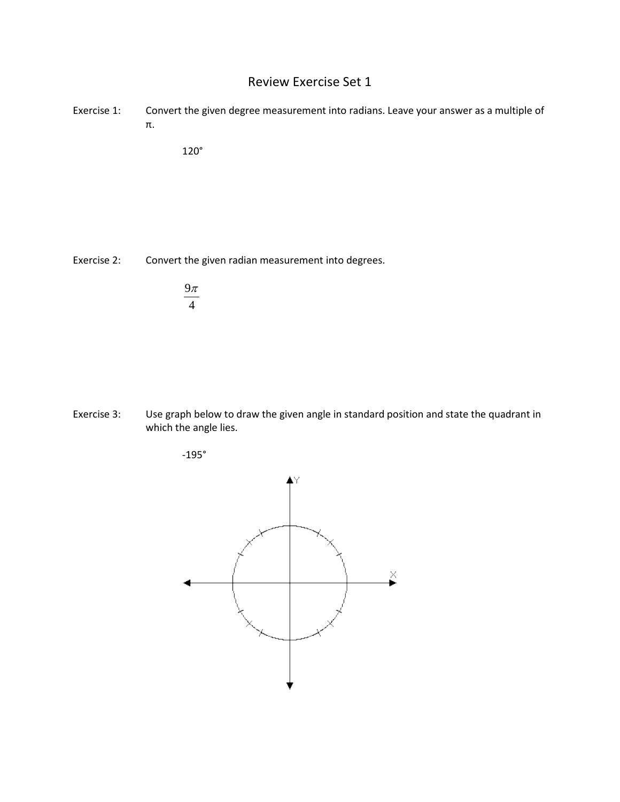## Review Exercise Set 1

Exercise 1: Convert the given degree measurement into radians. Leave your answer as a multiple of π.

120°

Exercise 2: Convert the given radian measurement into degrees.

| Уπ |  |
|----|--|
| 4  |  |

Exercise 3: Use graph below to draw the given angle in standard position and state the quadrant in which the angle lies.



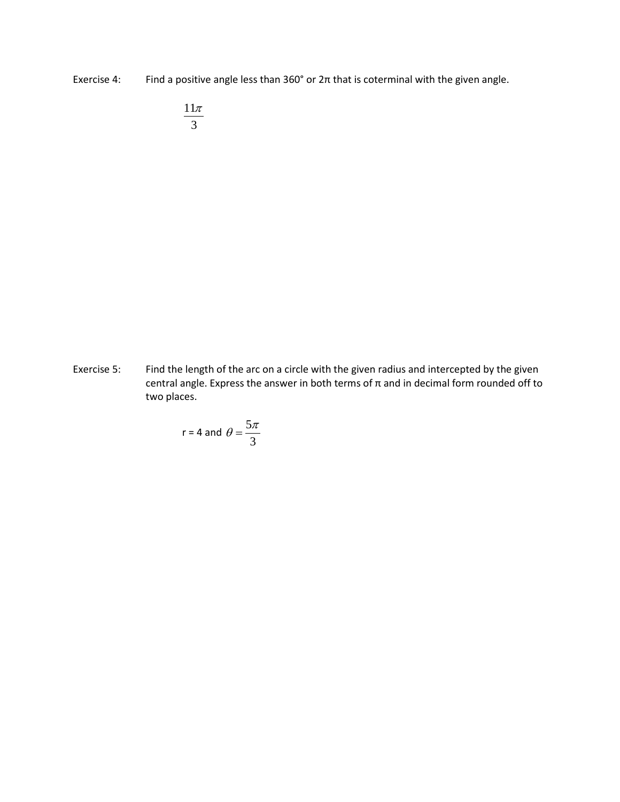Exercise 4: Find a positive angle less than  $360^{\circ}$  or  $2\pi$  that is coterminal with the given angle.

11 3 π

Exercise 5: Find the length of the arc on a circle with the given radius and intercepted by the given central angle. Express the answer in both terms of π and in decimal form rounded off to two places.

$$
r = 4 \text{ and } \theta = \frac{5\pi}{3}
$$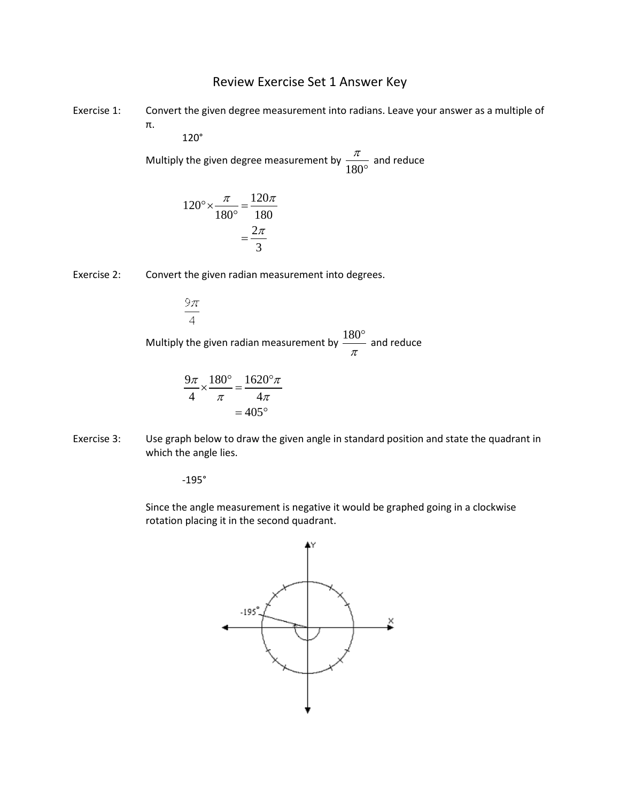## Review Exercise Set 1 Answer Key

Exercise 1: Convert the given degree measurement into radians. Leave your answer as a multiple of π.

120°

Multiply the given degree measurement by  $\frac{\pi}{180^{\circ}}$  and reduce

$$
120^\circ \times \frac{\pi}{180^\circ} = \frac{120\pi}{180}
$$

$$
= \frac{2\pi}{3}
$$

Exercise 2: Convert the given radian measurement into degrees.

 $\overline{4}$ Multiply the given radian measurement by  $\frac{180^{\circ}}{\pi}$  and reduce

$$
\frac{9\pi}{4} \times \frac{180^{\circ}}{\pi} = \frac{1620^{\circ}\pi}{4\pi}
$$

$$
= 405^{\circ}
$$

Exercise 3: Use graph below to draw the given angle in standard position and state the quadrant in which the angle lies.

-195°

9π

Since the angle measurement is negative it would be graphed going in a clockwise rotation placing it in the second quadrant.